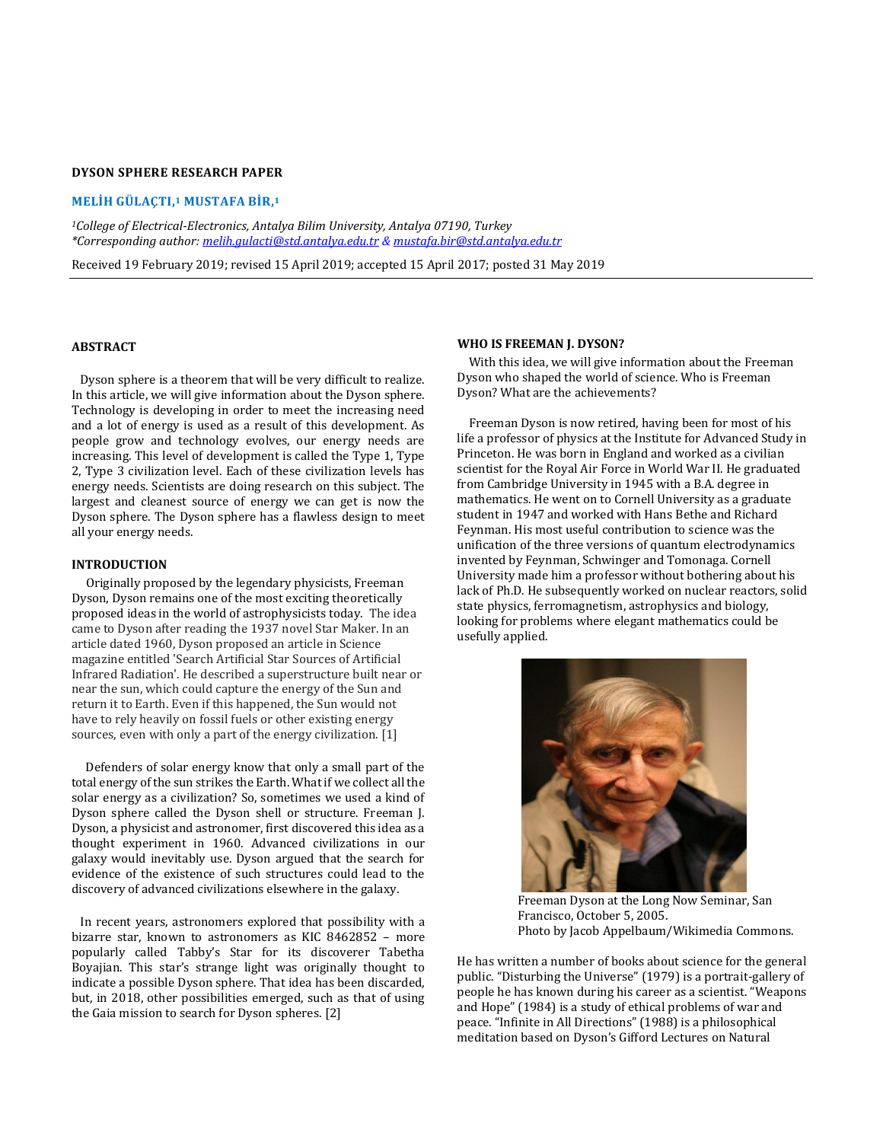# **DYSON SPHERE RESEARCH PAPER**

#### **MELİH GÜLAÇTI, <sup>1</sup> MUSTAFA BİR, 1**

*<sup>1</sup>College of Electrical-Electronics, Antalya Bilim University, Antalya 07190, Turkey \*Corresponding author[: melih.gulacti@std.antalya.edu.tr](mailto:melih.gulacti@std.antalya.edu.tr) & [mustafa.bir@std.antalya.edu.tr](mailto:mustafa.bir@std.antalya.edu.tr)* 

Received 19 February 2019; revised 15 April 2019; accepted 15 April 2017; posted 31 May 2019

### **ABSTRACT**

 Dyson sphere is a theorem that will be very difficult to realize. In this article, we will give information about the Dyson sphere. Technology is developing in order to meet the increasing need and a lot of energy is used as a result of this development. As people grow and technology evolves, our energy needs are increasing. This level of development is called the Type 1, Type 2, Type 3 civilization level. Each of these civilization levels has energy needs. Scientists are doing research on this subject. The largest and cleanest source of energy we can get is now the Dyson sphere. The Dyson sphere has a flawless design to meet all your energy needs.

## **INTRODUCTION**

 Originally proposed by the legendary physicists, Freeman Dyson, Dyson remains one of the most exciting theoretically proposed ideas in the world of astrophysicists today. The idea came to Dyson after reading the 1937 novel Star Maker. In an article dated 1960, Dyson proposed an article in Science magazine entitled 'Search Artificial Star Sources of Artificial Infrared Radiation'. He described a superstructure built near or near the sun, which could capture the energy of the Sun and return it to Earth. Even if this happened, the Sun would not have to rely heavily on fossil fuels or other existing energy sources, even with only a part of the energy civilization. [1]

 Defenders of solar energy know that only a small part of the total energy of the sun strikes the Earth. What if we collect all the solar energy as a civilization? So, sometimes we used a kind of Dyson sphere called the Dyson shell or structure. Freeman J. Dyson, a physicist and astronomer, first discovered this idea as a thought experiment in 1960. Advanced civilizations in our galaxy would inevitably use. Dyson argued that the search for evidence of the existence of such structures could lead to the discovery of advanced civilizations elsewhere in the galaxy.

 In recent years, astronomers explored that possibility with a bizarre star, known to astronomers as KIC 8462852 – more popularly called Tabby's Star for its discoverer Tabetha Boyajian. This star's strange light was originally thought to indicate a possible Dyson sphere. That idea has been discarded, but, in 2018, other possibilities emerged, such as that of using the Gaia mission to search for Dyson spheres. [2]

#### **WHO IS FREEMAN J. DYSON?**

 With this idea, we will give information about the Freeman Dyson who shaped the world of science. Who is Freeman Dyson? What are the achievements?

 Freeman Dyson is now retired, having been for most of his life a professor of physics at the Institute for Advanced Study in Princeton. He was born in England and worked as a civilian scientist for the Royal Air Force in World War II. He graduated from Cambridge University in 1945 with a B.A. degree in mathematics. He went on to Cornell University as a graduate student in 1947 and worked with Hans Bethe and Richard Feynman. His most useful contribution to science was the unification of the three versions of quantum electrodynamics invented by Feynman, Schwinger and Tomonaga. Cornell University made him a professor without bothering about his lack of Ph.D. He subsequently worked on nuclear reactors, solid state physics, ferromagnetism, astrophysics and biology, looking for problems where elegant mathematics could be usefully applied.



Freeman Dyson at the Long Now Seminar, San Francisco, October 5, 2005. Photo by Jacob Appelbaum[/Wikimedia Commons.](https://commons.wikimedia.org/wiki/File:Freeman_Dyson.jpg)

He has written a number of books about science for the general public. "Disturbing the Universe" (1979) is a portrait-gallery of people he has known during his career as a scientist. "Weapons and Hope" (1984) is a study of ethical problems of war and peace. "Infinite in All Directions" (1988) is a philosophical meditation based on Dyson's Gifford Lectures on Natural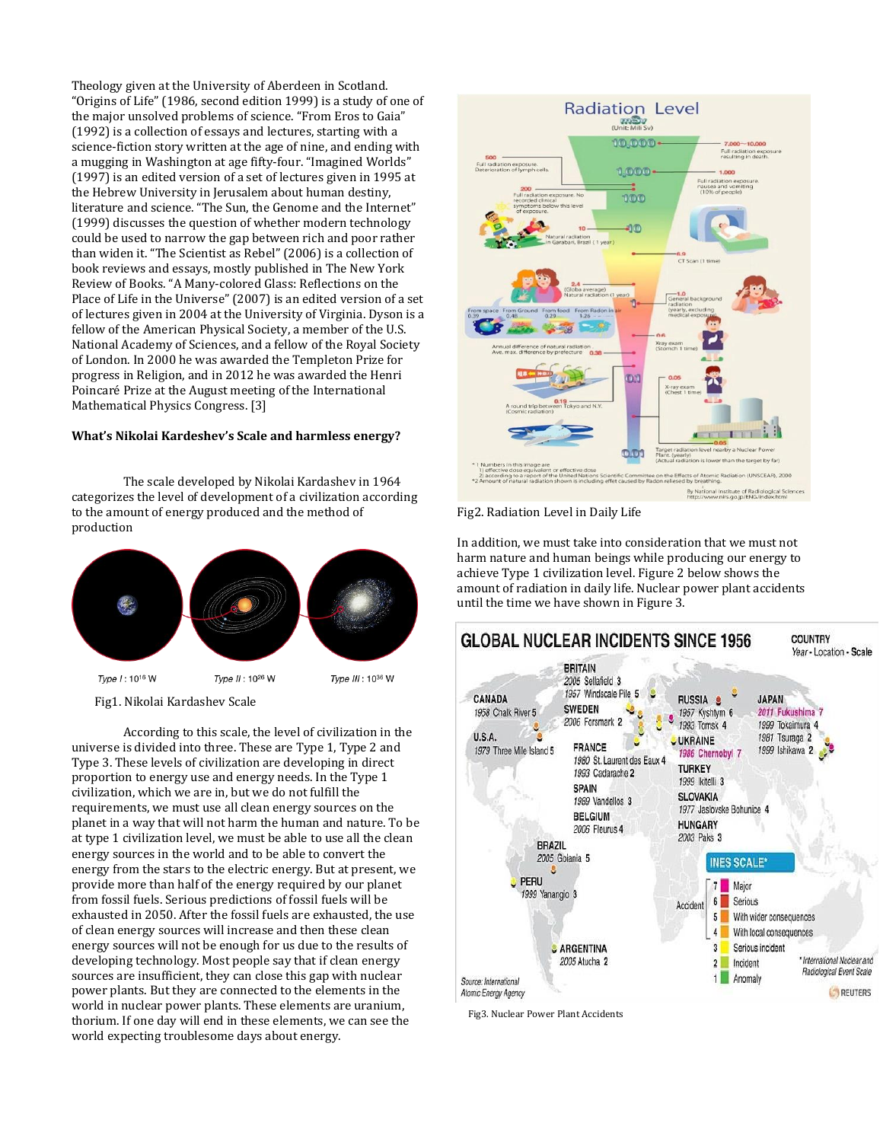Theology given at the University of Aberdeen in Scotland. "Origins of Life" (1986, second edition 1999) is a study of one of the major unsolved problems of science. "From Eros to Gaia" (1992) is a collection of essays and lectures, starting with a science-fiction story written at the age of nine, and ending with a mugging in Washington at age fifty-four. "Imagined Worlds" (1997) is an edited version of a set of lectures given in 1995 at the Hebrew University in Jerusalem about human destiny, literature and science. "The Sun, the Genome and the Internet" (1999) discusses the question of whether modern technology could be used to narrow the gap between rich and poor rather than widen it. "The Scientist as Rebel" (2006) is a collection of book reviews and essays, mostly published in The New York Review of Books. "A Many-colored Glass: Reflections on the Place of Life in the Universe" (2007) is an edited version of a set of lectures given in 2004 at the University of Virginia. Dyson is a fellow of the American Physical Society, a member of the U.S. National Academy of Sciences, and a fellow of the Royal Society of London. In 2000 he was awarded the Templeton Prize for progress in Religion, and in 2012 he was awarded the Henri Poincaré Prize at the August meeting of the International Mathematical Physics Congress. [3]

## **What's Nikolai Kardeshev's Scale and harmless energy?**

The scale developed by Nikolai Kardashev in 1964 categorizes the level of development of a civilization according to the amount of energy produced and the method of production



Fig1. Nikolai Kardashev Scale

According to this scale, the level of civilization in the universe is divided into three. These are Type 1, Type 2 and Type 3. These levels of civilization are developing in direct proportion to energy use and energy needs. In the Type 1 civilization, which we are in, but we do not fulfill the requirements, we must use all clean energy sources on the planet in a way that will not harm the human and nature. To be at type 1 civilization level, we must be able to use all the clean energy sources in the world and to be able to convert the energy from the stars to the electric energy. But at present, we provide more than half of the energy required by our planet from fossil fuels. Serious predictions of fossil fuels will be exhausted in 2050. After the fossil fuels are exhausted, the use of clean energy sources will increase and then these clean energy sources will not be enough for us due to the results of developing technology. Most people say that if clean energy sources are insufficient, they can close this gap with nuclear power plants. But they are connected to the elements in the world in nuclear power plants. These elements are uranium, thorium. If one day will end in these elements, we can see the world expecting troublesome days about energy.



Fig2. Radiation Level in Daily Life

In addition, we must take into consideration that we must not harm nature and human beings while producing our energy to achieve Type 1 civilization level. Figure 2 below shows the amount of radiation in daily life. Nuclear power plant accidents until the time we have shown in Figure 3.



Fig3. Nuclear Power Plant Accidents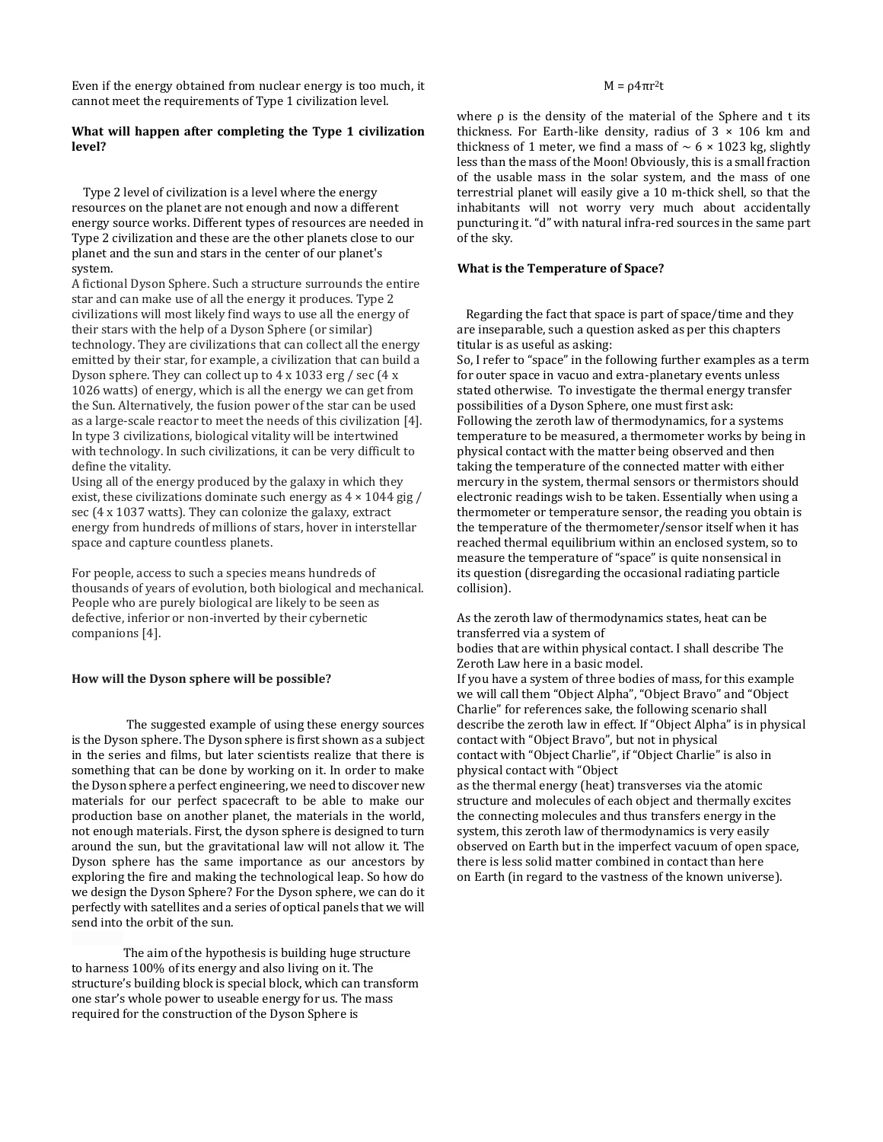Even if the energy obtained from nuclear energy is too much, it cannot meet the requirements of Type 1 civilization level.

## **What will happen after completing the Type 1 civilization level?**

 Type 2 level of civilization is a level where the energy resources on the planet are not enough and now a different energy source works. Different types of resources are needed in Type 2 civilization and these are the other planets close to our planet and the sun and stars in the center of our planet's system.

A fictional Dyson Sphere. Such a structure surrounds the entire star and can make use of all the energy it produces. Type 2 civilizations will most likely find ways to use all the energy of their stars with the help of a Dyson Sphere (or similar) technology. They are civilizations that can collect all the energy emitted by their star, for example, a civilization that can build a Dyson sphere. They can collect up to 4 x 1033 erg / sec (4 x 1026 watts) of energy, which is all the energy we can get from the Sun. Alternatively, the fusion power of the star can be used as a large-scale reactor to meet the needs of this civilization [4]. In type 3 civilizations, biological vitality will be intertwined with technology. In such civilizations, it can be very difficult to define the vitality.

Using all of the energy produced by the galaxy in which they exist, these civilizations dominate such energy as  $4 \times 1044$  gig / sec (4 x 1037 watts). They can colonize the galaxy, extract energy from hundreds of millions of stars, hover in interstellar space and capture countless planets.

For people, access to such a species means hundreds of thousands of years of evolution, both biological and mechanical. People who are purely biological are likely to be seen as defective, inferior or non-inverted by their cybernetic companions [4].

## **How will the Dyson sphere will be possible?**

The suggested example of using these energy sources is the Dyson sphere. The Dyson sphere is first shown as a subject in the series and films, but later scientists realize that there is something that can be done by working on it. In order to make the Dyson sphere a perfect engineering, we need to discover new materials for our perfect spacecraft to be able to make our production base on another planet, the materials in the world, not enough materials. First, the dyson sphere is designed to turn around the sun, but the gravitational law will not allow it. The Dyson sphere has the same importance as our ancestors by exploring the fire and making the technological leap. So how do we design the Dyson Sphere? For the Dyson sphere, we can do it perfectly with satellites and a series of optical panels that we will send into the orbit of the sun.

The aim of the hypothesis is building huge structure to harness 100% of its energy and also living on it. The structure's building block is special block, which can transform one star's whole power to useable energy for us. The mass required for the construction of the Dyson Sphere is

#### $M = ρ4πr<sup>2</sup>t$

where ρ is the density of the material of the Sphere and t its thickness. For Earth-like density, radius of  $3 \times 106$  km and thickness of 1 meter, we find a mass of  $\sim$  6 × 1023 kg, slightly less than the mass of the Moon! Obviously, this is a small fraction of the usable mass in the solar system, and the mass of one terrestrial planet will easily give a 10 m-thick shell, so that the inhabitants will not worry very much about accidentally puncturing it. "d" with natural infra-red sources in the same part of the sky.

## **What is the Temperature of Space?**

 Regarding the fact that space is part of space/time and they are inseparable, such a question asked as per this chapters titular is as useful as asking:

So, I refer to "space" in the following further examples as a term for outer space in vacuo and extra-planetary events unless stated otherwise. To investigate the thermal energy transfer possibilities of a Dyson Sphere, one must first ask: Following the zeroth law of thermodynamics, for a systems temperature to be measured, a thermometer works by being in physical contact with the matter being observed and then taking the temperature of the connected matter with either mercury in the system, thermal sensors or thermistors should electronic readings wish to be taken. Essentially when using a thermometer or temperature sensor, the reading you obtain is the temperature of the thermometer/sensor itself when it has reached thermal equilibrium within an enclosed system, so to measure the temperature of "space" is quite nonsensical in its question (disregarding the occasional radiating particle collision).

As the zeroth law of thermodynamics states, heat can be transferred via a system of

bodies that are within physical contact. I shall describe The Zeroth Law here in a basic model.

If you have a system of three bodies of mass, for this example we will call them "Object Alpha", "Object Bravo" and "Object Charlie" for references sake, the following scenario shall describe the zeroth law in effect. If "Object Alpha" is in physical contact with "Object Bravo", but not in physical contact with "Object Charlie", if "Object Charlie" is also in physical contact with "Object

as the thermal energy (heat) transverses via the atomic structure and molecules of each object and thermally excites the connecting molecules and thus transfers energy in the system, this zeroth law of thermodynamics is very easily observed on Earth but in the imperfect vacuum of open space, there is less solid matter combined in contact than here on Earth (in regard to the vastness of the known universe).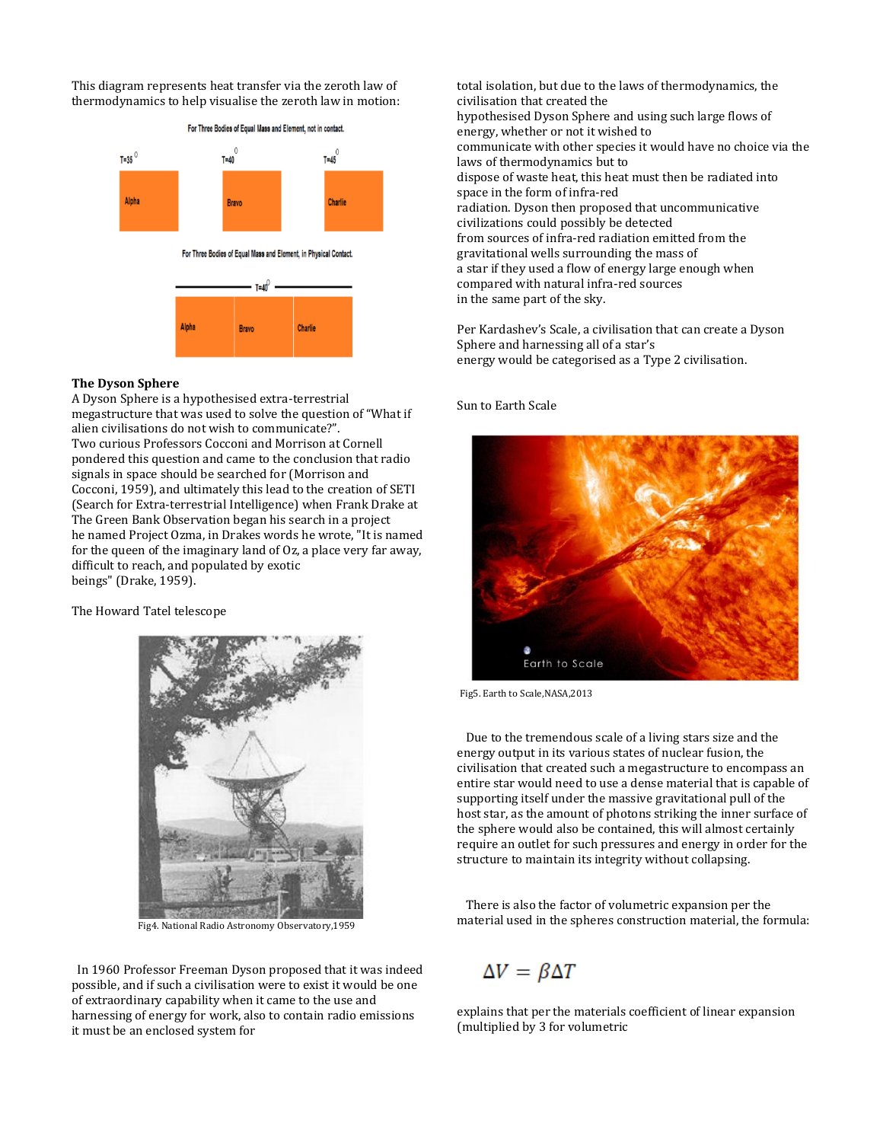This diagram represents heat transfer via the zeroth law of thermodynamics to help visualise the zeroth law in motion:



## **The Dyson Sphere**

A Dyson Sphere is a hypothesised extra-terrestrial megastructure that was used to solve the question of "What if alien civilisations do not wish to communicate?". Two curious Professors Cocconi and Morrison at Cornell pondered this question and came to the conclusion that radio signals in space should be searched for (Morrison and Cocconi, 1959), and ultimately this lead to the creation of SETI (Search for Extra-terrestrial Intelligence) when Frank Drake at The Green Bank Observation began his search in a project he named Project Ozma, in Drakes words he wrote, "It is named for the queen of the imaginary land of Oz, a place very far away, difficult to reach, and populated by exotic beings" (Drake, 1959).

The Howard Tatel telescope



Fig4. National Radio Astronomy Observatory,1959

 In 1960 Professor Freeman Dyson proposed that it was indeed possible, and if such a civilisation were to exist it would be one of extraordinary capability when it came to the use and harnessing of energy for work, also to contain radio emissions it must be an enclosed system for

total isolation, but due to the laws of thermodynamics, the civilisation that created the hypothesised Dyson Sphere and using such large flows of energy, whether or not it wished to communicate with other species it would have no choice via the laws of thermodynamics but to dispose of waste heat, this heat must then be radiated into space in the form of infra-red radiation. Dyson then proposed that uncommunicative civilizations could possibly be detected from sources of infra-red radiation emitted from the gravitational wells surrounding the mass of a star if they used a flow of energy large enough when compared with natural infra-red sources in the same part of the sky.

Per Kardashev's Scale, a civilisation that can create a Dyson Sphere and harnessing all of a star's energy would be categorised as a Type 2 civilisation.

#### Sun to Earth Scale



Fig5. Earth to Scale,NASA,2013

 Due to the tremendous scale of a living stars size and the energy output in its various states of nuclear fusion, the civilisation that created such a megastructure to encompass an entire star would need to use a dense material that is capable of supporting itself under the massive gravitational pull of the host star, as the amount of photons striking the inner surface of the sphere would also be contained, this will almost certainly require an outlet for such pressures and energy in order for the structure to maintain its integrity without collapsing.

 There is also the factor of volumetric expansion per the material used in the spheres construction material, the formula:

# $\Delta V = \beta \Delta T$

explains that per the materials coefficient of linear expansion (multiplied by 3 for volumetric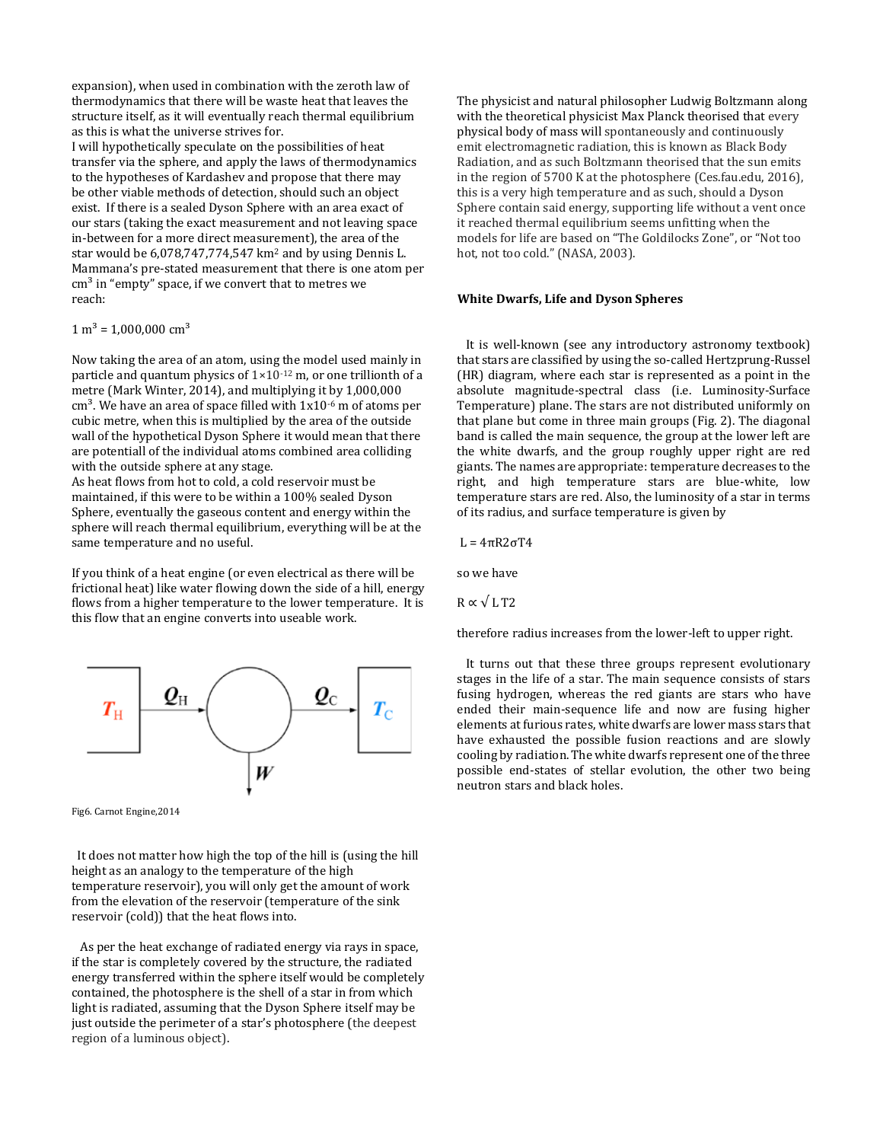expansion), when used in combination with the zeroth law of thermodynamics that there will be waste heat that leaves the structure itself, as it will eventually reach thermal equilibrium as this is what the universe strives for.

I will hypothetically speculate on the possibilities of heat transfer via the sphere, and apply the laws of thermodynamics to the hypotheses of Kardashev and propose that there may be other viable methods of detection, should such an object exist. If there is a sealed Dyson Sphere with an area exact of our stars (taking the exact measurement and not leaving space in-between for a more direct measurement), the area of the star would be 6,078,747,774,547 km<sup>2</sup> and by using Dennis L. Mammana's pre-stated measurement that there is one atom per  $cm<sup>3</sup>$  in "empty" space, if we convert that to metres we reach:

 $1 m<sup>3</sup> = 1,000,000 cm<sup>3</sup>$ 

Now taking the area of an atom, using the model used mainly in particle and quantum physics of  $1 \times 10^{-12}$  m, or one trillionth of a metre (Mark Winter, 2014), and multiplying it by 1,000,000  $cm<sup>3</sup>$ . We have an area of space filled with  $1x10<sup>-6</sup>$  m of atoms per cubic metre, when this is multiplied by the area of the outside wall of the hypothetical Dyson Sphere it would mean that there are potentiall of the individual atoms combined area colliding with the outside sphere at any stage.

As heat flows from hot to cold, a cold reservoir must be maintained, if this were to be within a 100% sealed Dyson Sphere, eventually the gaseous content and energy within the sphere will reach thermal equilibrium, everything will be at the same temperature and no useful.

If you think of a heat engine (or even electrical as there will be frictional heat) like water flowing down the side of a hill, energy flows from a higher temperature to the lower temperature. It is this flow that an engine converts into useable work.



Fig6. Carnot Engine,2014

 It does not matter how high the top of the hill is (using the hill height as an analogy to the temperature of the high temperature reservoir), you will only get the amount of work from the elevation of the reservoir (temperature of the sink reservoir (cold)) that the heat flows into.

 As per the heat exchange of radiated energy via rays in space, if the star is completely covered by the structure, the radiated energy transferred within the sphere itself would be completely contained, the photosphere is the shell of a star in from which light is radiated, assuming that the Dyson Sphere itself may be just outside the perimeter of a star's photosphere (the deepest region of a luminous object).

The physicist and natural philosopher Ludwig Boltzmann along with the theoretical physicist Max Planck theorised that every physical body of mass will spontaneously and continuously emit electromagnetic radiation, this is known as Black Body Radiation, and as such Boltzmann theorised that the sun emits in the region of 5700 K at the photosphere (Ces.fau.edu, 2016), this is a very high temperature and as such, should a Dyson Sphere contain said energy, supporting life without a vent once it reached thermal equilibrium seems unfitting when the models for life are based on "The Goldilocks Zone", or "Not too hot, not too cold." (NASA, 2003).

#### **White Dwarfs, Life and Dyson Spheres**

 It is well-known (see any introductory astronomy textbook) that stars are classified by using the so-called Hertzprung-Russel (HR) diagram, where each star is represented as a point in the absolute magnitude-spectral class (i.e. Luminosity-Surface Temperature) plane. The stars are not distributed uniformly on that plane but come in three main groups (Fig. 2). The diagonal band is called the main sequence, the group at the lower left are the white dwarfs, and the group roughly upper right are red giants. The names are appropriate: temperature decreases to the right, and high temperature stars are blue-white, low temperature stars are red. Also, the luminosity of a star in terms of its radius, and surface temperature is given by

L = 4πR2σT4

so we have

 $R \propto \sqrt{LT2}$ 

therefore radius increases from the lower-left to upper right.

 It turns out that these three groups represent evolutionary stages in the life of a star. The main sequence consists of stars fusing hydrogen, whereas the red giants are stars who have ended their main-sequence life and now are fusing higher elements at furious rates, white dwarfs are lower mass stars that have exhausted the possible fusion reactions and are slowly cooling by radiation. The white dwarfs represent one of the three possible end-states of stellar evolution, the other two being neutron stars and black holes.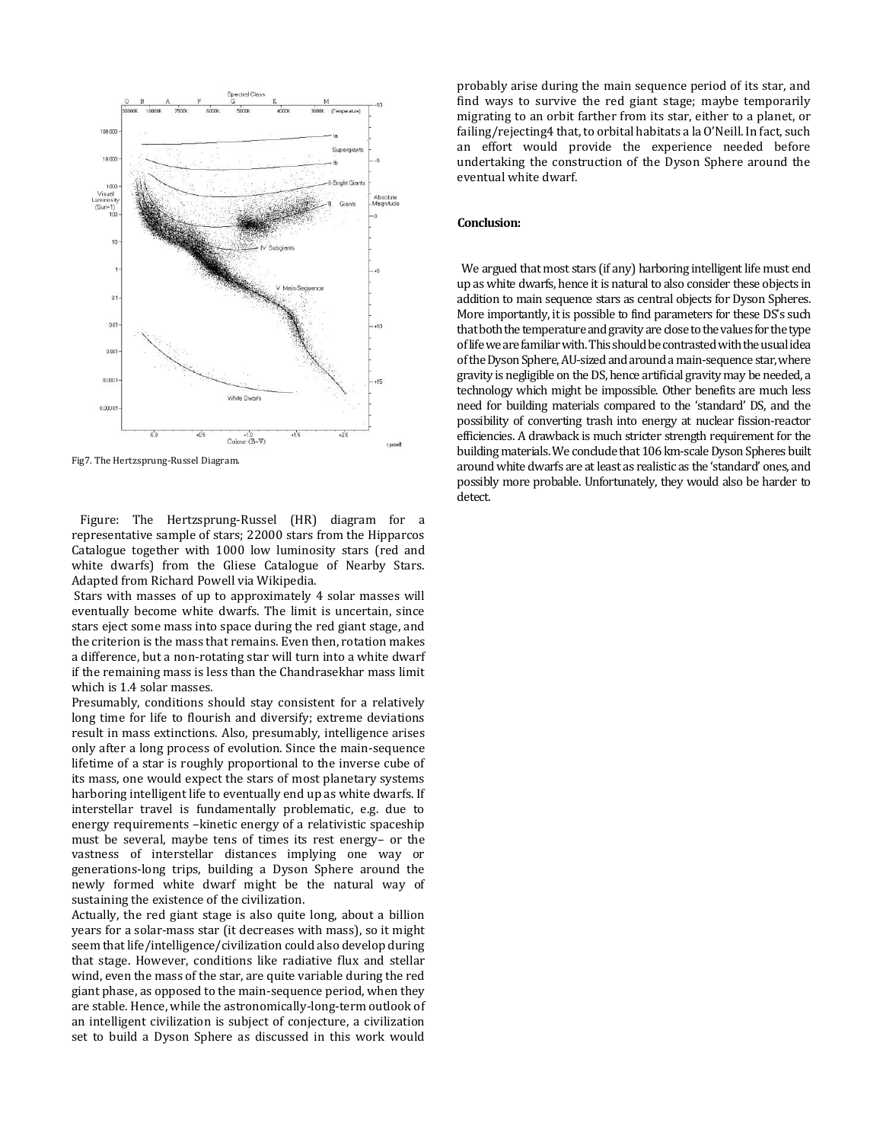

Fig7. The Hertzsprung-Russel Diagram.

 Figure: The Hertzsprung-Russel (HR) diagram for a representative sample of stars; 22000 stars from the Hipparcos Catalogue together with 1000 low luminosity stars (red and white dwarfs) from the Gliese Catalogue of Nearby Stars. Adapted from Richard Powell via Wikipedia.

Stars with masses of up to approximately 4 solar masses will eventually become white dwarfs. The limit is uncertain, since stars eject some mass into space during the red giant stage, and the criterion is the mass that remains. Even then, rotation makes a difference, but a non-rotating star will turn into a white dwarf if the remaining mass is less than the Chandrasekhar mass limit which is 1.4 solar masses.

Presumably, conditions should stay consistent for a relatively long time for life to flourish and diversify; extreme deviations result in mass extinctions. Also, presumably, intelligence arises only after a long process of evolution. Since the main-sequence lifetime of a star is roughly proportional to the inverse cube of its mass, one would expect the stars of most planetary systems harboring intelligent life to eventually end up as white dwarfs. If interstellar travel is fundamentally problematic, e.g. due to energy requirements –kinetic energy of a relativistic spaceship must be several, maybe tens of times its rest energy– or the vastness of interstellar distances implying one way or generations-long trips, building a Dyson Sphere around the newly formed white dwarf might be the natural way of sustaining the existence of the civilization.

Actually, the red giant stage is also quite long, about a billion years for a solar-mass star (it decreases with mass), so it might seem that life/intelligence/civilization could also develop during that stage. However, conditions like radiative flux and stellar wind, even the mass of the star, are quite variable during the red giant phase, as opposed to the main-sequence period, when they are stable. Hence, while the astronomically-long-term outlook of an intelligent civilization is subject of conjecture, a civilization set to build a Dyson Sphere as discussed in this work would

probably arise during the main sequence period of its star, and find ways to survive the red giant stage; maybe temporarily migrating to an orbit farther from its star, either to a planet, or failing/rejecting4 that, to orbital habitats a la O'Neill. In fact, such an effort would provide the experience needed before undertaking the construction of the Dyson Sphere around the eventual white dwarf.

## **Conclusion:**

 We argued that most stars (if any) harboring intelligent life must end up as white dwarfs, hence it is natural to also consider these objects in addition to main sequence stars as central objects for Dyson Spheres. More importantly, it is possible to find parameters for these DS's such that both the temperature and gravity are close to the values for the type of life we are familiar with. This should be contrasted with the usual idea of the Dyson Sphere, AU-sized and around a main-sequence star, where gravity is negligible on the DS, hence artificial gravity may be needed, a technology which might be impossible. Other benefits are much less need for building materials compared to the 'standard' DS, and the possibility of converting trash into energy at nuclear fission-reactor efficiencies. A drawback is much stricter strength requirement for the building materials. We conclude that 106 km-scale Dyson Spheres built around white dwarfs are at least as realistic as the 'standard' ones, and possibly more probable. Unfortunately, they would also be harder to detect.